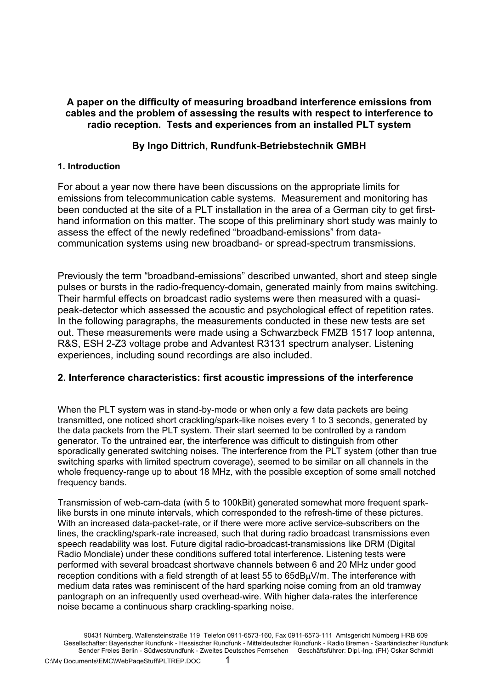## **A paper on the difficulty of measuring broadband interference emissions from cables and the problem of assessing the results with respect to interference to radio reception. Tests and experiences from an installed PLT system**

## **By Ingo Dittrich, Rundfunk-Betriebstechnik GMBH**

## **1. Introduction**

For about a year now there have been discussions on the appropriate limits for emissions from telecommunication cable systems. Measurement and monitoring has been conducted at the site of a PLT installation in the area of a German city to get firsthand information on this matter. The scope of this preliminary short study was mainly to assess the effect of the newly redefined "broadband-emissions" from datacommunication systems using new broadband- or spread-spectrum transmissions.

Previously the term "broadband-emissions" described unwanted, short and steep single pulses or bursts in the radio-frequency-domain, generated mainly from mains switching. Their harmful effects on broadcast radio systems were then measured with a quasipeak-detector which assessed the acoustic and psychological effect of repetition rates. In the following paragraphs, the measurements conducted in these new tests are set out. These measurements were made using a Schwarzbeck FMZB 1517 loop antenna, R&S, ESH 2-Z3 voltage probe and Advantest R3131 spectrum analyser. Listening experiences, including sound recordings are also included.

## **2. Interference characteristics: first acoustic impressions of the interference**

When the PLT system was in stand-by-mode or when only a few data packets are being transmitted, one noticed short crackling/spark-like noises every 1 to 3 seconds, generated by the data packets from the PLT system. Their start seemed to be controlled by a random generator. To the untrained ear, the interference was difficult to distinguish from other sporadically generated switching noises. The interference from the PLT system (other than true switching sparks with limited spectrum coverage), seemed to be similar on all channels in the whole frequency-range up to about 18 MHz, with the possible exception of some small notched frequency bands.

Transmission of web-cam-data (with 5 to 100kBit) generated somewhat more frequent sparklike bursts in one minute intervals, which corresponded to the refresh-time of these pictures. With an increased data-packet-rate, or if there were more active service-subscribers on the lines, the crackling/spark-rate increased, such that during radio broadcast transmissions even speech readability was lost. Future digital radio-broadcast-transmissions like DRM (Digital Radio Mondiale) under these conditions suffered total interference. Listening tests were performed with several broadcast shortwave channels between 6 and 20 MHz under good reception conditions with a field strength of at least 55 to 65dBµV/m. The interference with medium data rates was reminiscent of the hard sparking noise coming from an old tramway pantograph on an infrequently used overhead-wire. With higher data-rates the interference noise became a continuous sharp crackling-sparking noise.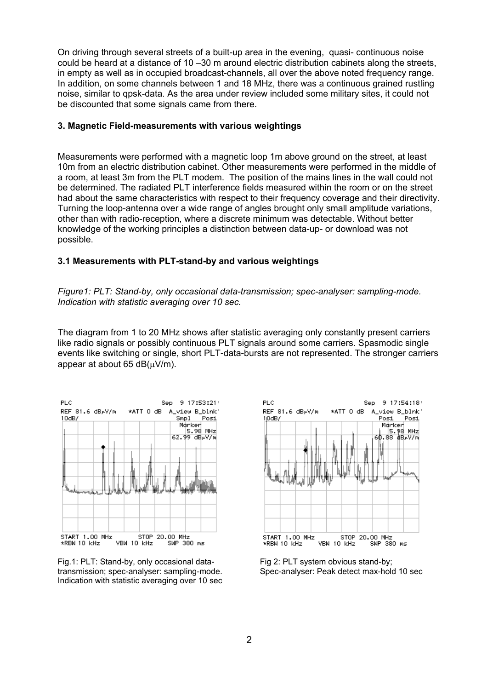On driving through several streets of a built-up area in the evening, quasi- continuous noise could be heard at a distance of 10 –30 m around electric distribution cabinets along the streets, in empty as well as in occupied broadcast-channels, all over the above noted frequency range. In addition, on some channels between 1 and 18 MHz, there was a continuous grained rustling noise, similar to qpsk-data. As the area under review included some military sites, it could not be discounted that some signals came from there.

### **3. Magnetic Field-measurements with various weightings**

Measurements were performed with a magnetic loop 1m above ground on the street, at least 10m from an electric distribution cabinet. Other measurements were performed in the middle of a room, at least 3m from the PLT modem. The position of the mains lines in the wall could not be determined. The radiated PLT interference fields measured within the room or on the street had about the same characteristics with respect to their frequency coverage and their directivity. Turning the loop-antenna over a wide range of angles brought only small amplitude variations, other than with radio-reception, where a discrete minimum was detectable. Without better knowledge of the working principles a distinction between data-up- or download was not possible.

### **3.1 Measurements with PLT-stand-by and various weightings**

*Figure1: PLT: Stand-by, only occasional data-transmission; spec-analyser: sampling-mode. Indication with statistic averaging over 10 sec.* 

The diagram from 1 to 20 MHz shows after statistic averaging only constantly present carriers like radio signals or possibly continuous PLT signals around some carriers. Spasmodic single events like switching or single, short PLT-data-bursts are not represented. The stronger carriers appear at about 65  $dB(\mu V/m)$ .







Fig 2: PLT system obvious stand-by; Spec-analyser: Peak detect max-hold 10 sec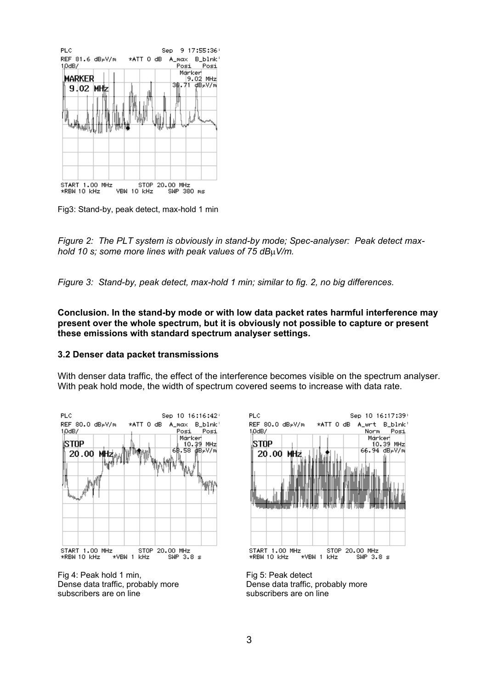

Fig3: Stand-by, peak detect, max-hold 1 min

*Figure 2: The PLT system is obviously in stand-by mode; Spec-analyser: Peak detect maxhold 10 s; some more lines with peak values of 75 dB*µ*V/m.*

*Figure 3: Stand-by, peak detect, max-hold 1 min; similar to fig. 2, no big differences.* 

**Conclusion. In the stand-by mode or with low data packet rates harmful interference may present over the whole spectrum, but it is obviously not possible to capture or present these emissions with standard spectrum analyser settings.** 

#### **3.2 Denser data packet transmissions**

With denser data traffic, the effect of the interference becomes visible on the spectrum analyser. With peak hold mode, the width of spectrum covered seems to increase with data rate.



Fig 4: Peak hold 1 min, Dense data traffic, probably more subscribers are on line



Fig 5: Peak detect Dense data traffic, probably more subscribers are on line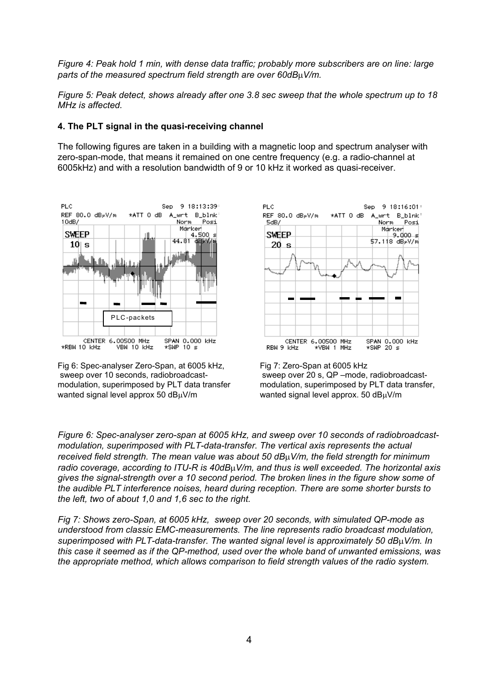*Figure 4: Peak hold 1 min, with dense data traffic; probably more subscribers are on line: large parts of the measured spectrum field strength are over 60dB*µ*V/m.* 

*Figure 5: Peak detect, shows already after one 3.8 sec sweep that the whole spectrum up to 18 MHz is affected.* 

#### **4. The PLT signal in the quasi-receiving channel**

The following figures are taken in a building with a magnetic loop and spectrum analyser with zero-span-mode, that means it remained on one centre frequency (e.g. a radio-channel at 6005kHz) and with a resolution bandwidth of 9 or 10 kHz it worked as quasi-receiver.



Fig 6: Spec-analyser Zero-Span, at 6005 kHz, sweep over 10 seconds, radiobroadcastmodulation, superimposed by PLT data transfer wanted signal level approx 50 dBuV/m



Fig 7: Zero-Span at 6005 kHz sweep over 20 s, QP –mode, radiobroadcastmodulation, superimposed by PLT data transfer, wanted signal level approx. 50 dBuV/m

*Figure 6: Spec-analyser zero-span at 6005 kHz, and sweep over 10 seconds of radiobroadcastmodulation, superimposed with PLT-data-transfer. The vertical axis represents the actual received field strength. The mean value was about 50 dB*µ*V/m, the field strength for minimum radio coverage, according to ITU-R is 40dB*µ*V/m, and thus is well exceeded. The horizontal axis gives the signal-strength over a 10 second period. The broken lines in the figure show some of the audible PLT interference noises, heard during reception. There are some shorter bursts to the left, two of about 1,0 and 1,6 sec to the right.* 

*Fig 7: Shows zero-Span, at 6005 kHz, sweep over 20 seconds, with simulated QP-mode as understood from classic EMC-measurements. The line represents radio broadcast modulation, superimposed with PLT-data-transfer. The wanted signal level is approximately 50 dB*µ*V/m. In this case it seemed as if the QP-method, used over the whole band of unwanted emissions, was the appropriate method, which allows comparison to field strength values of the radio system.*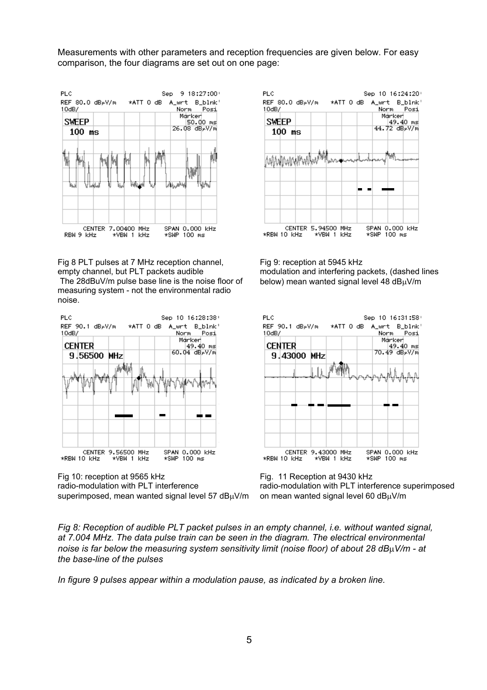Measurements with other parameters and reception frequencies are given below. For easy comparison, the four diagrams are set out on one page:



Fig 8 PLT pulses at 7 MHz reception channel, empty channel, but PLT packets audible The 28dBuV/m pulse base line is the noise floor of measuring system - not the environmental radio noise.



Fig 10: reception at 9565 kHz radio-modulation with PLT interference superimposed, mean wanted signal level 57  $dB<sub>\mu</sub>V/m$ 



Fig 9: reception at 5945 kHz modulation and interfering packets, (dashed lines below) mean wanted signal level 48 dBµV/m



Fig. 11 Reception at 9430 kHz radio-modulation with PLT interference superimposed on mean wanted signal level 60 dBµV/m

*Fig 8: Reception of audible PLT packet pulses in an empty channel, i.e. without wanted signal, at 7.004 MHz. The data pulse train can be seen in the diagram. The electrical environmental noise is far below the measuring system sensitivity limit (noise floor) of about 28 dB*µ*V/m - at the base-line of the pulses* 

*In figure 9 pulses appear within a modulation pause, as indicated by a broken line.*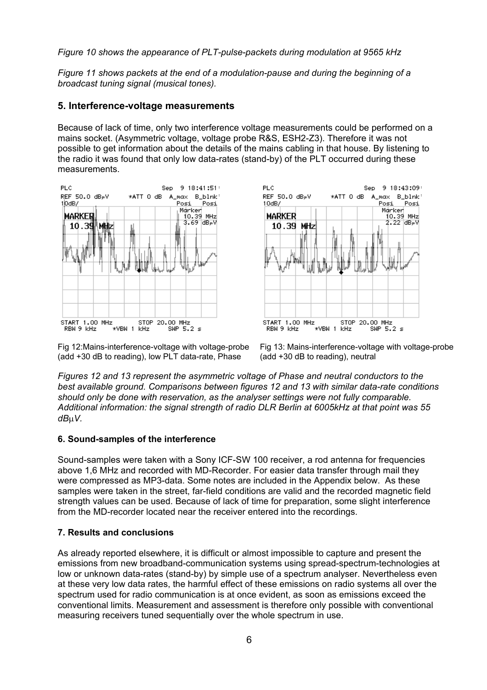*Figure 10 shows the appearance of PLT-pulse-packets during modulation at 9565 kHz* 

*Figure 11 shows packets at the end of a modulation-pause and during the beginning of a broadcast tuning signal (musical tones).* 

### **5. Interference-voltage measurements**

Because of lack of time, only two interference voltage measurements could be performed on a mains socket. (Asymmetric voltage, voltage probe R&S, ESH2-Z3). Therefore it was not possible to get information about the details of the mains cabling in that house. By listening to the radio it was found that only low data-rates (stand-by) of the PLT occurred during these measurements.





Fig 12:Mains-interference-voltage with voltage-probe (add +30 dB to reading), low PLT data-rate, Phase

Fig 13: Mains-interference-voltage with voltage-probe (add +30 dB to reading), neutral

*Figures 12 and 13 represent the asymmetric voltage of Phase and neutral conductors to the best available ground. Comparisons between figures 12 and 13 with similar data-rate conditions should only be done with reservation, as the analyser settings were not fully comparable. Additional information: the signal strength of radio DLR Berlin at 6005kHz at that point was 55 dB*µ*V.* 

#### **6. Sound-samples of the interference**

Sound-samples were taken with a Sony ICF-SW 100 receiver, a rod antenna for frequencies above 1,6 MHz and recorded with MD-Recorder. For easier data transfer through mail they were compressed as MP3-data. Some notes are included in the Appendix below. As these samples were taken in the street, far-field conditions are valid and the recorded magnetic field strength values can be used. Because of lack of time for preparation, some slight interference from the MD-recorder located near the receiver entered into the recordings.

### **7. Results and conclusions**

As already reported elsewhere, it is difficult or almost impossible to capture and present the emissions from new broadband-communication systems using spread-spectrum-technologies at low or unknown data-rates (stand-by) by simple use of a spectrum analyser. Nevertheless even at these very low data rates, the harmful effect of these emissions on radio systems all over the spectrum used for radio communication is at once evident, as soon as emissions exceed the conventional limits. Measurement and assessment is therefore only possible with conventional measuring receivers tuned sequentially over the whole spectrum in use.